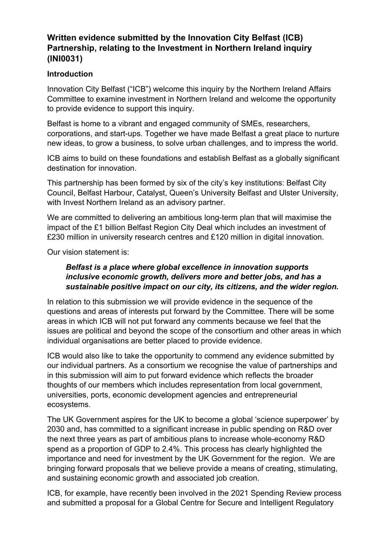# **Written evidence submitted by the Innovation City Belfast (ICB) Partnership, relating to the Investment in Northern Ireland inquiry (INI0031)**

### **Introduction**

Innovation City Belfast ("ICB") welcome this inquiry by the Northern Ireland Affairs Committee to examine investment in Northern Ireland and welcome the opportunity to provide evidence to support this inquiry.

Belfast is home to a vibrant and engaged community of SMEs, researchers, corporations, and start-ups. Together we have made Belfast a great place to nurture new ideas, to grow a business, to solve urban challenges, and to impress the world.

ICB aims to build on these foundations and establish Belfast as a globally significant destination for innovation.

This partnership has been formed by six of the city's key institutions: Belfast City Council, Belfast Harbour, Catalyst, Queen's University Belfast and Ulster University, with Invest Northern Ireland as an advisory partner.

We are committed to delivering an ambitious long-term plan that will maximise the impact of the £1 billion Belfast Region City Deal which includes an investment of £230 million in university research centres and £120 million in digital innovation.

Our vision statement is:

#### *Belfast is a place where global excellence in innovation supports inclusive economic growth, delivers more and better jobs, and has a sustainable positive impact on our city, its citizens, and the wider region.*

In relation to this submission we will provide evidence in the sequence of the questions and areas of interests put forward by the Committee. There will be some areas in which ICB will not put forward any comments because we feel that the issues are political and beyond the scope of the consortium and other areas in which individual organisations are better placed to provide evidence.

ICB would also like to take the opportunity to commend any evidence submitted by our individual partners. As a consortium we recognise the value of partnerships and in this submission will aim to put forward evidence which reflects the broader thoughts of our members which includes representation from local government, universities, ports, economic development agencies and entrepreneurial ecosystems.

The UK Government aspires for the UK to become a global 'science superpower' by 2030 and, has committed to a significant increase in public spending on R&D over the next three years as part of ambitious plans to increase whole-economy R&D spend as a proportion of GDP to 2.4%. This process has clearly highlighted the importance and need for investment by the UK Government for the region. We are bringing forward proposals that we believe provide a means of creating, stimulating, and sustaining economic growth and associated job creation.

ICB, for example, have recently been involved in the 2021 Spending Review process and submitted a proposal for a Global Centre for Secure and Intelligent Regulatory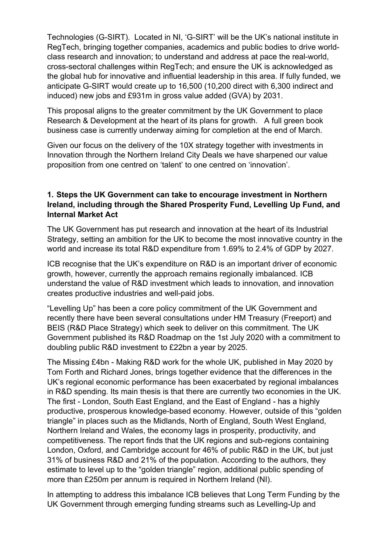Technologies (G-SIRT). Located in NI, 'G-SIRT' will be the UK's national institute in RegTech, bringing together companies, academics and public bodies to drive worldclass research and innovation; to understand and address at pace the real-world, cross-sectoral challenges within RegTech; and ensure the UK is acknowledged as the global hub for innovative and influential leadership in this area. If fully funded, we anticipate G-SIRT would create up to 16,500 (10,200 direct with 6,300 indirect and induced) new jobs and £931m in gross value added (GVA) by 2031.

This proposal aligns to the greater commitment by the UK Government to place Research & Development at the heart of its plans for growth. A full green book business case is currently underway aiming for completion at the end of March.

Given our focus on the delivery of the 10X strategy together with investments in Innovation through the Northern Ireland City Deals we have sharpened our value proposition from one centred on 'talent' to one centred on 'innovation'.

#### **1. Steps the UK Government can take to encourage investment in Northern Ireland, including through the Shared Prosperity Fund, Levelling Up Fund, and Internal Market Act**

The UK Government has put research and innovation at the heart of its Industrial Strategy, setting an ambition for the UK to become the most innovative country in the world and increase its total R&D expenditure from 1.69% to 2.4% of GDP by 2027.

ICB recognise that the UK's expenditure on R&D is an important driver of economic growth, however, currently the approach remains regionally imbalanced. ICB understand the value of R&D investment which leads to innovation, and innovation creates productive industries and well-paid jobs.

"Levelling Up" has been a core policy commitment of the UK Government and recently there have been several consultations under HM Treasury (Freeport) and BEIS (R&D Place Strategy) which seek to deliver on this commitment. The UK Government published its R&D Roadmap on the 1st July 2020 with a commitment to doubling public R&D investment to £22bn a year by 2025.

The Missing £4bn - Making R&D work for the whole UK, published in May 2020 by Tom Forth and Richard Jones, brings together evidence that the differences in the UK's regional economic performance has been exacerbated by regional imbalances in R&D spending. Its main thesis is that there are currently two economies in the UK. The first - London, South East England, and the East of England - has a highly productive, prosperous knowledge-based economy. However, outside of this "golden triangle" in places such as the Midlands, North of England, South West England, Northern Ireland and Wales, the economy lags in prosperity, productivity, and competitiveness. The report finds that the UK regions and sub-regions containing London, Oxford, and Cambridge account for 46% of public R&D in the UK, but just 31% of business R&D and 21% of the population. According to the authors, they estimate to level up to the "golden triangle" region, additional public spending of more than £250m per annum is required in Northern Ireland (NI).

In attempting to address this imbalance ICB believes that Long Term Funding by the UK Government through emerging funding streams such as Levelling-Up and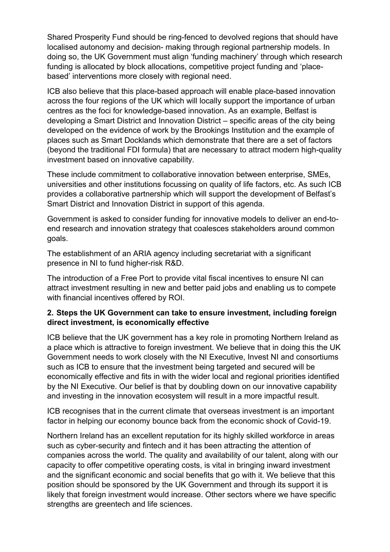Shared Prosperity Fund should be ring-fenced to devolved regions that should have localised autonomy and decision- making through regional partnership models. In doing so, the UK Government must align 'funding machinery' through which research funding is allocated by block allocations, competitive project funding and 'placebased' interventions more closely with regional need.

ICB also believe that this place-based approach will enable place-based innovation across the four regions of the UK which will locally support the importance of urban centres as the foci for knowledge-based innovation. As an example, Belfast is developing a Smart District and Innovation District – specific areas of the city being developed on the evidence of work by the Brookings Institution and the example of places such as Smart Docklands which demonstrate that there are a set of factors (beyond the traditional FDI formula) that are necessary to attract modern high-quality investment based on innovative capability.

These include commitment to collaborative innovation between enterprise, SMEs, universities and other institutions focussing on quality of life factors, etc. As such ICB provides a collaborative partnership which will support the development of Belfast's Smart District and Innovation District in support of this agenda.

Government is asked to consider funding for innovative models to deliver an end-toend research and innovation strategy that coalesces stakeholders around common goals.

The establishment of an ARIA agency including secretariat with a significant presence in NI to fund higher-risk R&D.

The introduction of a Free Port to provide vital fiscal incentives to ensure NI can attract investment resulting in new and better paid jobs and enabling us to compete with financial incentives offered by ROI.

#### **2. Steps the UK Government can take to ensure investment, including foreign direct investment, is economically effective**

ICB believe that the UK government has a key role in promoting Northern Ireland as a place which is attractive to foreign investment. We believe that in doing this the UK Government needs to work closely with the NI Executive, Invest NI and consortiums such as ICB to ensure that the investment being targeted and secured will be economically effective and fits in with the wider local and regional priorities identified by the NI Executive. Our belief is that by doubling down on our innovative capability and investing in the innovation ecosystem will result in a more impactful result.

ICB recognises that in the current climate that overseas investment is an important factor in helping our economy bounce back from the economic shock of Covid-19.

Northern Ireland has an excellent reputation for its highly skilled workforce in areas such as cyber-security and fintech and it has been attracting the attention of companies across the world. The quality and availability of our talent, along with our capacity to offer competitive operating costs, is vital in bringing inward investment and the significant economic and social benefits that go with it. We believe that this position should be sponsored by the UK Government and through its support it is likely that foreign investment would increase. Other sectors where we have specific strengths are greentech and life sciences.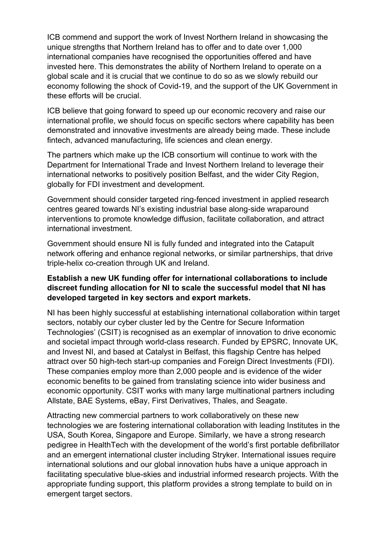ICB commend and support the work of Invest Northern Ireland in showcasing the unique strengths that Northern Ireland has to offer and to date over 1,000 international companies have recognised the opportunities offered and have invested here. This demonstrates the ability of Northern Ireland to operate on a global scale and it is crucial that we continue to do so as we slowly rebuild our economy following the shock of Covid-19, and the support of the UK Government in these efforts will be crucial.

ICB believe that going forward to speed up our economic recovery and raise our international profile, we should focus on specific sectors where capability has been demonstrated and innovative investments are already being made. These include fintech, advanced manufacturing, life sciences and clean energy.

The partners which make up the ICB consortium will continue to work with the Department for International Trade and Invest Northern Ireland to leverage their international networks to positively position Belfast, and the wider City Region, globally for FDI investment and development.

Government should consider targeted ring-fenced investment in applied research centres geared towards NI's existing industrial base along-side wraparound interventions to promote knowledge diffusion, facilitate collaboration, and attract international investment.

Government should ensure NI is fully funded and integrated into the Catapult network offering and enhance regional networks, or similar partnerships, that drive triple-helix co-creation through UK and Ireland.

#### **Establish a new UK funding offer for international collaborations to include discreet funding allocation for NI to scale the successful model that NI has developed targeted in key sectors and export markets.**

NI has been highly successful at establishing international collaboration within target sectors, notably our cyber cluster led by the Centre for Secure Information Technologies' (CSIT) is recognised as an exemplar of innovation to drive economic and societal impact through world-class research. Funded by EPSRC, Innovate UK, and Invest NI, and based at Catalyst in Belfast, this flagship Centre has helped attract over 50 high-tech start-up companies and Foreign Direct Investments (FDI). These companies employ more than 2,000 people and is evidence of the wider economic benefits to be gained from translating science into wider business and economic opportunity. CSIT works with many large multinational partners including Allstate, BAE Systems, eBay, First Derivatives, Thales, and Seagate.

Attracting new commercial partners to work collaboratively on these new technologies we are fostering international collaboration with leading Institutes in the USA, South Korea, Singapore and Europe. Similarly, we have a strong research pedigree in HealthTech with the development of the world's first portable defibrillator and an emergent international cluster including Stryker. International issues require international solutions and our global innovation hubs have a unique approach in facilitating speculative blue-skies and industrial informed research projects. With the appropriate funding support, this platform provides a strong template to build on in emergent target sectors.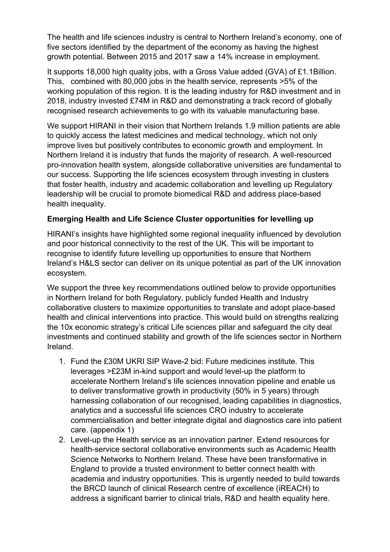The health and life sciences industry is central to Northern Ireland's economy, one of five sectors identified by the department of the economy as having the highest growth potential. Between 2015 and 2017 saw a 14% increase in employment.

It supports 18,000 high quality jobs, with a Gross Value added (GVA) of £1.1Billion. This, combined with 80,000 jobs in the health service, represents >5% of the working population of this region. It is the leading industry for R&D investment and in 2018, industry invested £74M in R&D and demonstrating a track record of globally recognised research achievements to go with its valuable manufacturing base.

We support HIRANI in their vision that Northern Irelands 1.9 million patients are able to quickly access the latest medicines and medical technology, which not only improve lives but positively contributes to economic growth and employment. In Northern Ireland it is industry that funds the majority of research. A well-resourced pro-innovation health system, alongside collaborative universities are fundamental to our success. Supporting the life sciences ecosystem through investing in clusters that foster health, industry and academic collaboration and levelling up Regulatory leadership will be crucial to promote biomedical R&D and address place-based health inequality.

#### **Emerging Health and Life Science Cluster opportunities for levelling up**

HIRANI's insights have highlighted some regional inequality influenced by devolution and poor historical connectivity to the rest of the UK. This will be important to recognise to identify future levelling up opportunities to ensure that Northern Ireland's H&LS sector can deliver on its unique potential as part of the UK innovation ecosystem.

We support the three key recommendations outlined below to provide opportunities in Northern Ireland for both Regulatory, publicly funded Health and Industry collaborative clusters to maximize opportunities to translate and adopt place-based health and clinical interventions into practice. This would build on strengths realizing the 10x economic strategy's critical Life sciences pillar and safeguard the city deal investments and continued stability and growth of the life sciences sector in Northern Ireland.

- 1. Fund the £30M UKRI SIP Wave-2 bid: Future medicines institute. This leverages >£23M in-kind support and would level-up the platform to accelerate Northern Ireland's life sciences innovation pipeline and enable us to deliver transformative growth in productivity (50% in 5 years) through harnessing collaboration of our recognised, leading capabilities in diagnostics, analytics and a successful life sciences CRO industry to accelerate commercialisation and better integrate digital and diagnostics care into patient care. (appendix 1)
- 2. Level-up the Health service as an innovation partner. Extend resources for health-service sectoral collaborative environments such as Academic Health Science Networks to Northern Ireland. These have been transformative in England to provide a trusted environment to better connect health with academia and industry opportunities. This is urgently needed to build towards the BRCD launch of clinical Research centre of excellence (iREACH) to address a significant barrier to clinical trials, R&D and health equality here.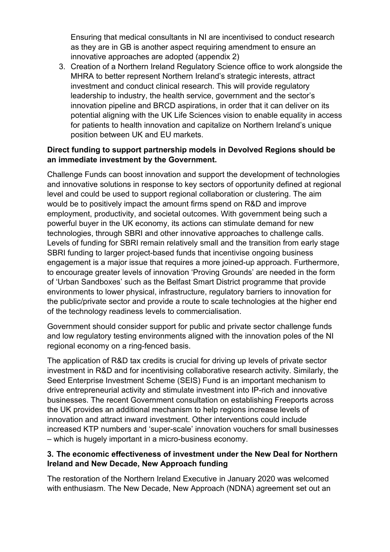Ensuring that medical consultants in NI are incentivised to conduct research as they are in GB is another aspect requiring amendment to ensure an innovative approaches are adopted (appendix 2)

3. Creation of a Northern Ireland Regulatory Science office to work alongside the MHRA to better represent Northern Ireland's strategic interests, attract investment and conduct clinical research. This will provide regulatory leadership to industry, the health service, government and the sector's innovation pipeline and BRCD aspirations, in order that it can deliver on its potential aligning with the UK Life Sciences vision to enable equality in access for patients to health innovation and capitalize on Northern Ireland's unique position between UK and EU markets.

#### **Direct funding to support partnership models in Devolved Regions should be an immediate investment by the Government.**

Challenge Funds can boost innovation and support the development of technologies and innovative solutions in response to key sectors of opportunity defined at regional level and could be used to support regional collaboration or clustering. The aim would be to positively impact the amount firms spend on R&D and improve employment, productivity, and societal outcomes. With government being such a powerful buyer in the UK economy, its actions can stimulate demand for new technologies, through SBRI and other innovative approaches to challenge calls. Levels of funding for SBRI remain relatively small and the transition from early stage SBRI funding to larger project-based funds that incentivise ongoing business engagement is a major issue that requires a more joined-up approach. Furthermore, to encourage greater levels of innovation 'Proving Grounds' are needed in the form of 'Urban Sandboxes' such as the Belfast Smart District programme that provide environments to lower physical, infrastructure, regulatory barriers to innovation for the public/private sector and provide a route to scale technologies at the higher end of the technology readiness levels to commercialisation.

Government should consider support for public and private sector challenge funds and low regulatory testing environments aligned with the innovation poles of the NI regional economy on a ring-fenced basis.

The application of R&D tax credits is crucial for driving up levels of private sector investment in R&D and for incentivising collaborative research activity. Similarly, the Seed Enterprise Investment Scheme (SEIS) Fund is an important mechanism to drive entrepreneurial activity and stimulate investment into IP-rich and innovative businesses. The recent Government consultation on establishing Freeports across the UK provides an additional mechanism to help regions increase levels of innovation and attract inward investment. Other interventions could include increased KTP numbers and 'super-scale' innovation vouchers for small businesses – which is hugely important in a micro-business economy.

#### **3. The economic effectiveness of investment under the New Deal for Northern Ireland and New Decade, New Approach funding**

The restoration of the Northern Ireland Executive in January 2020 was welcomed with enthusiasm. The New Decade, New Approach (NDNA) agreement set out an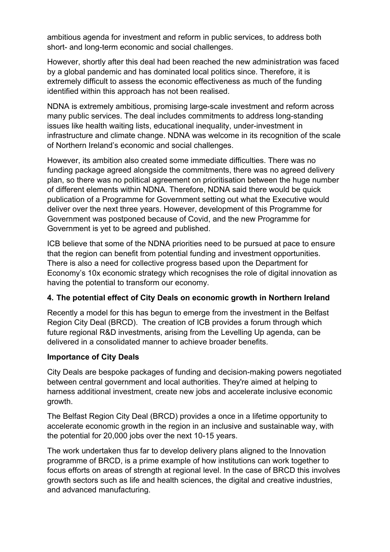ambitious agenda for investment and reform in public services, to address both short- and long-term economic and social challenges.

However, shortly after this deal had been reached the new administration was faced by a global pandemic and has dominated local politics since. Therefore, it is extremely difficult to assess the economic effectiveness as much of the funding identified within this approach has not been realised.

NDNA is extremely ambitious, promising large-scale investment and reform across many public services. The deal includes commitments to address long-standing issues like health waiting lists, educational inequality, under-investment in infrastructure and climate change. NDNA was welcome in its recognition of the scale of Northern Ireland's economic and social challenges.

However, its ambition also created some immediate difficulties. There was no funding package agreed alongside the commitments, there was no agreed delivery plan, so there was no political agreement on prioritisation between the huge number of different elements within NDNA. Therefore, NDNA said there would be quick publication of a Programme for Government setting out what the Executive would deliver over the next three years. However, development of this Programme for Government was postponed because of Covid, and the new Programme for Government is yet to be agreed and published.

ICB believe that some of the NDNA priorities need to be pursued at pace to ensure that the region can benefit from potential funding and investment opportunities. There is also a need for collective progress based upon the Department for Economy's 10x economic strategy which recognises the role of digital innovation as having the potential to transform our economy.

#### **4. The potential effect of City Deals on economic growth in Northern Ireland**

Recently a model for this has begun to emerge from the investment in the Belfast Region City Deal (BRCD). The creation of ICB provides a forum through which future regional R&D investments, arising from the Levelling Up agenda, can be delivered in a consolidated manner to achieve broader benefits.

#### **Importance of City Deals**

City Deals are bespoke packages of funding and decision-making powers negotiated between central government and local authorities. They're aimed at helping to harness additional investment, create new jobs and accelerate inclusive economic growth.

The Belfast Region City Deal (BRCD) provides a once in a lifetime opportunity to accelerate economic growth in the region in an inclusive and sustainable way, with the potential for 20,000 jobs over the next 10-15 years.

The work undertaken thus far to develop delivery plans aligned to the Innovation programme of BRCD, is a prime example of how institutions can work together to focus efforts on areas of strength at regional level. In the case of BRCD this involves growth sectors such as life and health sciences, the digital and creative industries, and advanced manufacturing.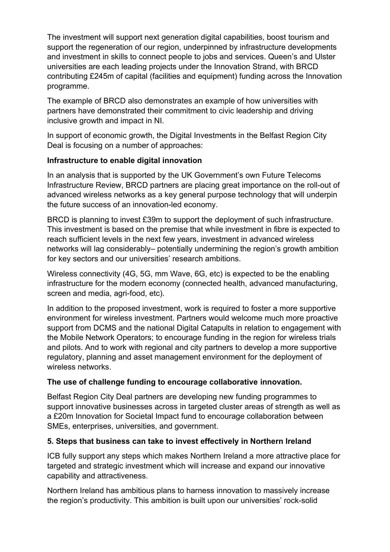The investment will support next generation digital capabilities, boost tourism and support the regeneration of our region, underpinned by infrastructure developments and investment in skills to connect people to jobs and services. Queen's and Ulster universities are each leading projects under the Innovation Strand, with BRCD contributing £245m of capital (facilities and equipment) funding across the Innovation programme.

The example of BRCD also demonstrates an example of how universities with partners have demonstrated their commitment to civic leadership and driving inclusive growth and impact in NI.

In support of economic growth, the Digital Investments in the Belfast Region City Deal is focusing on a number of approaches:

#### **Infrastructure to enable digital innovation**

In an analysis that is supported by the UK Government's own Future Telecoms Infrastructure Review, BRCD partners are placing great importance on the roll-out of advanced wireless networks as a key general purpose technology that will underpin the future success of an innovation-led economy.

BRCD is planning to invest £39m to support the deployment of such infrastructure. This investment is based on the premise that while investment in fibre is expected to reach sufficient levels in the next few years, investment in advanced wireless networks will lag considerably– potentially undermining the region's growth ambition for key sectors and our universities' research ambitions.

Wireless connectivity (4G, 5G, mm Wave, 6G, etc) is expected to be the enabling infrastructure for the modern economy (connected health, advanced manufacturing, screen and media, agri-food, etc).

In addition to the proposed investment, work is required to foster a more supportive environment for wireless investment. Partners would welcome much more proactive support from DCMS and the national Digital Catapults in relation to engagement with the Mobile Network Operators; to encourage funding in the region for wireless trials and pilots. And to work with regional and city partners to develop a more supportive regulatory, planning and asset management environment for the deployment of wireless networks.

## **The use of challenge funding to encourage collaborative innovation.**

Belfast Region City Deal partners are developing new funding programmes to support innovative businesses across in targeted cluster areas of strength as well as a £20m Innovation for Societal Impact fund to encourage collaboration between SMEs, enterprises, universities, and government.

#### **5. Steps that business can take to invest effectively in Northern Ireland**

ICB fully support any steps which makes Northern Ireland a more attractive place for targeted and strategic investment which will increase and expand our innovative capability and attractiveness.

Northern Ireland has ambitious plans to harness innovation to massively increase the region's productivity. This ambition is built upon our universities' rock-solid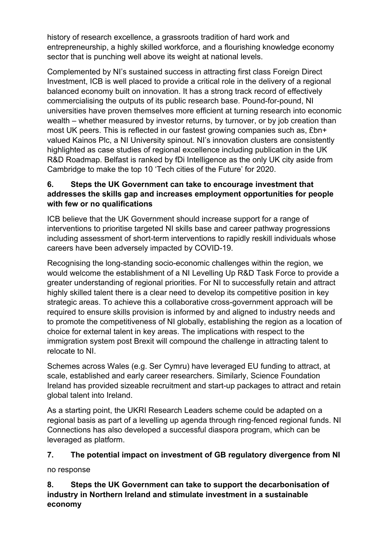history of research excellence, a grassroots tradition of hard work and entrepreneurship, a highly skilled workforce, and a flourishing knowledge economy sector that is punching well above its weight at national levels.

Complemented by NI's sustained success in attracting first class Foreign Direct Investment, ICB is well placed to provide a critical role in the delivery of a regional balanced economy built on innovation. It has a strong track record of effectively commercialising the outputs of its public research base. Pound-for-pound, NI universities have proven themselves more efficient at turning research into economic wealth – whether measured by investor returns, by turnover, or by job creation than most UK peers. This is reflected in our fastest growing companies such as, £bn+ valued Kainos Plc, a NI University spinout. NI's innovation clusters are consistently highlighted as case studies of regional excellence including publication in the UK R&D Roadmap. Belfast is ranked by fDi Intelligence as the only UK city aside from Cambridge to make the top 10 'Tech cities of the Future' for 2020.

## **6. Steps the UK Government can take to encourage investment that addresses the skills gap and increases employment opportunities for people with few or no qualifications**

ICB believe that the UK Government should increase support for a range of interventions to prioritise targeted NI skills base and career pathway progressions including assessment of short-term interventions to rapidly reskill individuals whose careers have been adversely impacted by COVID-19.

Recognising the long-standing socio-economic challenges within the region, we would welcome the establishment of a NI Levelling Up R&D Task Force to provide a greater understanding of regional priorities. For NI to successfully retain and attract highly skilled talent there is a clear need to develop its competitive position in key strategic areas. To achieve this a collaborative cross-government approach will be required to ensure skills provision is informed by and aligned to industry needs and to promote the competitiveness of NI globally, establishing the region as a location of choice for external talent in key areas. The implications with respect to the immigration system post Brexit will compound the challenge in attracting talent to relocate to NI.

Schemes across Wales (e.g. Ser Cymru) have leveraged EU funding to attract, at scale, established and early career researchers. Similarly, Science Foundation Ireland has provided sizeable recruitment and start-up packages to attract and retain global talent into Ireland.

As a starting point, the UKRI Research Leaders scheme could be adapted on a regional basis as part of a levelling up agenda through ring-fenced regional funds. NI Connections has also developed a successful diaspora program, which can be leveraged as platform.

## **7. The potential impact on investment of GB regulatory divergence from NI**

no response

**8. Steps the UK Government can take to support the decarbonisation of industry in Northern Ireland and stimulate investment in a sustainable economy**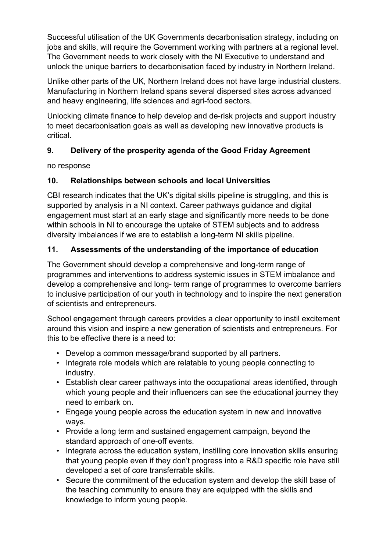Successful utilisation of the UK Governments decarbonisation strategy, including on jobs and skills, will require the Government working with partners at a regional level. The Government needs to work closely with the NI Executive to understand and unlock the unique barriers to decarbonisation faced by industry in Northern Ireland.

Unlike other parts of the UK, Northern Ireland does not have large industrial clusters. Manufacturing in Northern Ireland spans several dispersed sites across advanced and heavy engineering, life sciences and agri-food sectors.

Unlocking climate finance to help develop and de-risk projects and support industry to meet decarbonisation goals as well as developing new innovative products is critical.

# **9. Delivery of the prosperity agenda of the Good Friday Agreement**

no response

## **10. Relationships between schools and local Universities**

CBI research indicates that the UK's digital skills pipeline is struggling, and this is supported by analysis in a NI context. Career pathways guidance and digital engagement must start at an early stage and significantly more needs to be done within schools in NI to encourage the uptake of STEM subjects and to address diversity imbalances if we are to establish a long-term NI skills pipeline.

## **11. Assessments of the understanding of the importance of education**

The Government should develop a comprehensive and long-term range of programmes and interventions to address systemic issues in STEM imbalance and develop a comprehensive and long- term range of programmes to overcome barriers to inclusive participation of our youth in technology and to inspire the next generation of scientists and entrepreneurs.

School engagement through careers provides a clear opportunity to instil excitement around this vision and inspire a new generation of scientists and entrepreneurs. For this to be effective there is a need to:

- Develop a common message/brand supported by all partners.
- Integrate role models which are relatable to young people connecting to industry.
- Establish clear career pathways into the occupational areas identified, through which young people and their influencers can see the educational journey they need to embark on.
- Engage young people across the education system in new and innovative ways.
- Provide a long term and sustained engagement campaign, beyond the standard approach of one-off events.
- Integrate across the education system, instilling core innovation skills ensuring that young people even if they don't progress into a R&D specific role have still developed a set of core transferrable skills.
- Secure the commitment of the education system and develop the skill base of the teaching community to ensure they are equipped with the skills and knowledge to inform young people.